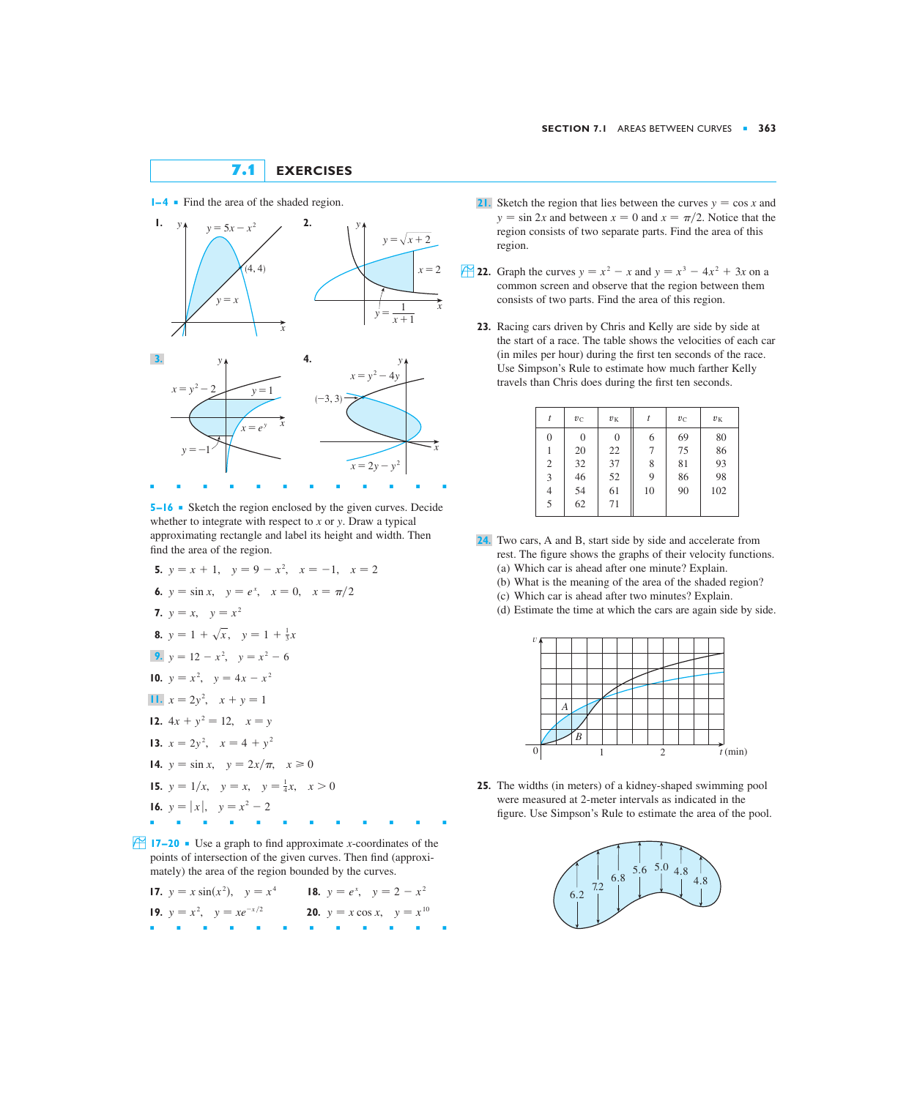## **7.1 EXERCISES**



**5–16** ■ Sketch the region enclosed by the given curves. Decide whether to integrate with respect to *x* or *y*. Draw a typical approximating rectangle and label its height and width. Then find the area of the region.

5. 
$$
y = x + 1
$$
,  $y = 9 - x^2$ ,  $x = -1$ ,  $x = 2$   
\n6.  $y = \sin x$ ,  $y = e^x$ ,  $x = 0$ ,  $x = \pi/2$   
\n7.  $y = x$ ,  $y = x^2$   
\n8.  $y = 1 + \sqrt{x}$ ,  $y = 1 + \frac{1}{3}x$   
\n9.  $y = 12 - x^2$ ,  $y = x^2 - 6$   
\n10.  $y = x^2$ ,  $y = 4x - x^2$   
\n11.  $x = 2y^2$ ,  $x + y = 1$   
\n12.  $4x + y^2 = 12$ ,  $x = y$   
\n13.  $x = 2y^2$ ,  $x = 4 + y^2$   
\n14.  $y = \sin x$ ,  $y = 2x/\pi$ ,  $x \ge 0$   
\n15.  $y = 1/x$ ,  $y = x$ ,  $y = \frac{1}{4}x$ ,  $x > 0$   
\n16.  $y = |x|$ ,  $y = x^2 - 2$ 

**17–20** • Use a graph to find approximate *x*-coordinates of the points of intersection of the given curves. Then find (approximately) the area of the region bounded by the curves.

| <b>17.</b> $y = x \sin(x^2)$ , $y = x^4$ <b>18.</b> $y = e^x$ , $y = 2 - x^2$ |                                          |
|-------------------------------------------------------------------------------|------------------------------------------|
| <b>19.</b> $y = x^2$ , $y = xe^{-x/2}$                                        | <b>20.</b> $y = x \cos x$ , $y = x^{10}$ |
|                                                                               | .                                        |

- $1-4$  **Find the area of the shaded region.** 21. Sketch the region that lies between the curves  $y = \cos x$  and  $y = \sin 2x$  and between  $x = 0$  and  $x = \pi/2$ . Notice that the region consists of two separate parts. Find the area of this region.
	- **22.** Graph the curves  $y = x^2 x$  and  $y = x^3 4x^2 + 3x$  on a common screen and observe that the region between them consists of two parts. Find the area of this region.
		- **23.** Racing cars driven by Chris and Kelly are side by side at the start of a race. The table shows the velocities of each car (in miles per hour) during the first ten seconds of the race. Use Simpson's Rule to estimate how much farther Kelly travels than Chris does during the first ten seconds.

| t              | $v_{\rm C}$  | $v_{K}$        |    | $v_C$ | $v_{K}$ |
|----------------|--------------|----------------|----|-------|---------|
| $\overline{0}$ | $\mathbf{0}$ | $\overline{0}$ | 6  | 69    | 80      |
|                | 20           | 22             | 7  | 75    | 86      |
| $\overline{c}$ | 32           | 37             | 8  | 81    | 93      |
| 3              | 46           | 52             | 9  | 86    | 98      |
| 4              | 54           | 61             | 10 | 90    | 102     |
| 5              | 62           | 71             |    |       |         |

- Two cars, A and B, start side by side and accelerate from **24.** rest. The figure shows the graphs of their velocity functions. (a) Which car is ahead after one minute? Explain.
	- (b) What is the meaning of the area of the shaded region?
	- (c) Which car is ahead after two minutes? Explain.
	- (d) Estimate the time at which the cars are again side by side.



**25.** The widths (in meters) of a kidney-shaped swimming pool were measured at 2-meter intervals as indicated in the figure. Use Simpson's Rule to estimate the area of the pool.